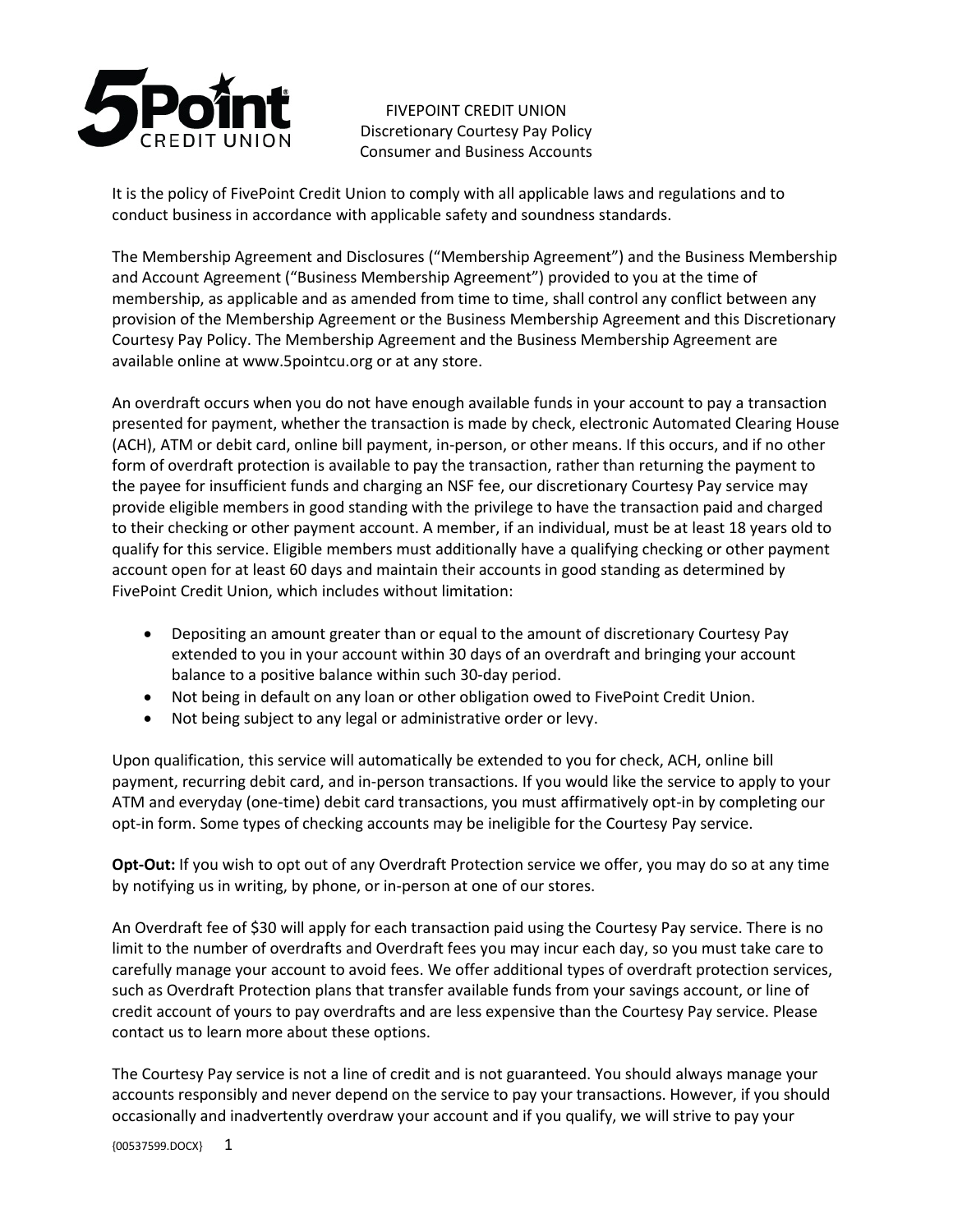

FIVEPOINT CREDIT UNION Discretionary Courtesy Pay Policy Consumer and Business Accounts

It is the policy of FivePoint Credit Union to comply with all applicable laws and regulations and to conduct business in accordance with applicable safety and soundness standards.

The Membership Agreement and Disclosures ("Membership Agreement") and the Business Membership and Account Agreement ("Business Membership Agreement") provided to you at the time of membership, as applicable and as amended from time to time, shall control any conflict between any provision of the Membership Agreement or the Business Membership Agreement and this Discretionary Courtesy Pay Policy. The Membership Agreement and the Business Membership Agreement are available online at www.5pointcu.org or at any store.

An overdraft occurs when you do not have enough available funds in your account to pay a transaction presented for payment, whether the transaction is made by check, electronic Automated Clearing House (ACH), ATM or debit card, online bill payment, in-person, or other means. If this occurs, and if no other form of overdraft protection is available to pay the transaction, rather than returning the payment to the payee for insufficient funds and charging an NSF fee, our discretionary Courtesy Pay service may provide eligible members in good standing with the privilege to have the transaction paid and charged to their checking or other payment account. A member, if an individual, must be at least 18 years old to qualify for this service. Eligible members must additionally have a qualifying checking or other payment account open for at least 60 days and maintain their accounts in good standing as determined by FivePoint Credit Union, which includes without limitation:

- Depositing an amount greater than or equal to the amount of discretionary Courtesy Pay extended to you in your account within 30 days of an overdraft and bringing your account balance to a positive balance within such 30-day period.
- Not being in default on any loan or other obligation owed to FivePoint Credit Union.
- Not being subject to any legal or administrative order or levy.

Upon qualification, this service will automatically be extended to you for check, ACH, online bill payment, recurring debit card, and in-person transactions. If you would like the service to apply to your ATM and everyday (one-time) debit card transactions, you must affirmatively opt-in by completing our opt-in form. Some types of checking accounts may be ineligible for the Courtesy Pay service.

**Opt-Out:** If you wish to opt out of any Overdraft Protection service we offer, you may do so at any time by notifying us in writing, by phone, or in-person at one of our stores.

An Overdraft fee of \$30 will apply for each transaction paid using the Courtesy Pay service. There is no limit to the number of overdrafts and Overdraft fees you may incur each day, so you must take care to carefully manage your account to avoid fees. We offer additional types of overdraft protection services, such as Overdraft Protection plans that transfer available funds from your savings account, or line of credit account of yours to pay overdrafts and are less expensive than the Courtesy Pay service. Please contact us to learn more about these options.

The Courtesy Pay service is not a line of credit and is not guaranteed. You should always manage your accounts responsibly and never depend on the service to pay your transactions. However, if you should occasionally and inadvertently overdraw your account and if you qualify, we will strive to pay your